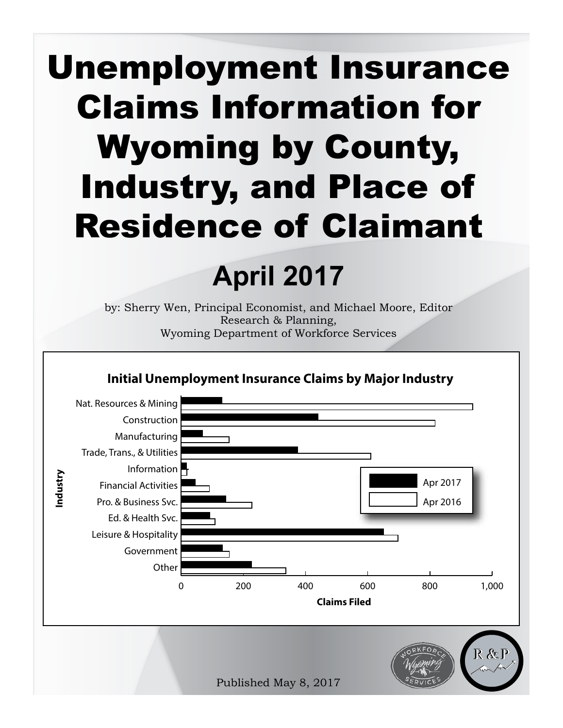# Unemployment Insurance Claims Information for Wyoming by County, Industry, and Place of Residence of Claimant

## **April 2017**

by: Sherry Wen, Principal Economist, and Michael Moore, Editor Research & Planning, Wyoming Department of Workforce Services

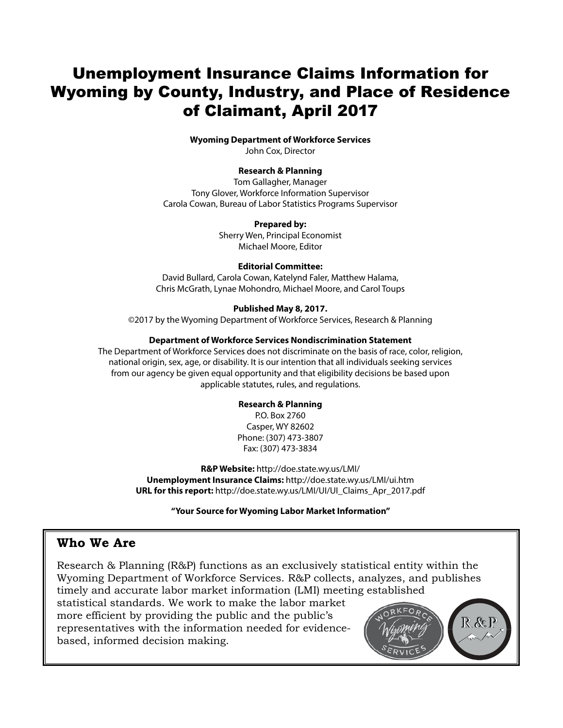## Unemployment Insurance Claims Information for Wyoming by County, Industry, and Place of Residence of Claimant, April 2017

#### **Wyoming Department of Workforce Services**

John Cox, Director

#### **Research & Planning**

Tom Gallagher, Manager Tony Glover, Workforce Information Supervisor Carola Cowan, Bureau of Labor Statistics Programs Supervisor

#### **Prepared by:**

Sherry Wen, Principal Economist Michael Moore, Editor

#### **Editorial Committee:**

David Bullard, Carola Cowan, Katelynd Faler, Matthew Halama, Chris McGrath, Lynae Mohondro, Michael Moore, and Carol Toups

### **Published May 8, 2017.**

©2017 by the Wyoming Department of Workforce Services, Research & Planning

#### **Department of Workforce Services Nondiscrimination Statement**

The Department of Workforce Services does not discriminate on the basis of race, color, religion, national origin, sex, age, or disability. It is our intention that all individuals seeking services from our agency be given equal opportunity and that eligibility decisions be based upon applicable statutes, rules, and regulations.

### **Research & Planning**

P.O. Box 2760 Casper, WY 82602 Phone: (307) 473-3807 Fax: (307) 473-3834

**R&P Website:** http://doe.state.wy.us/LMI/ **Unemployment Insurance Claims:** http://doe.state.wy.us/LMI/ui.htm **URL for this report:** http://doe.state.wy.us/LMI/UI/UI\_Claims\_Apr\_2017.pdf

**"Your Source for Wyoming Labor Market Information"**

## **Who We Are**

Research & Planning (R&P) functions as an exclusively statistical entity within the Wyoming Department of Workforce Services. R&P collects, analyzes, and publishes timely and accurate labor market information (LMI) meeting established statistical standards. We work to make the labor market more efficient by providing the public and the public's  $R$ &P representatives with the information needed for evidencebased, informed decision making.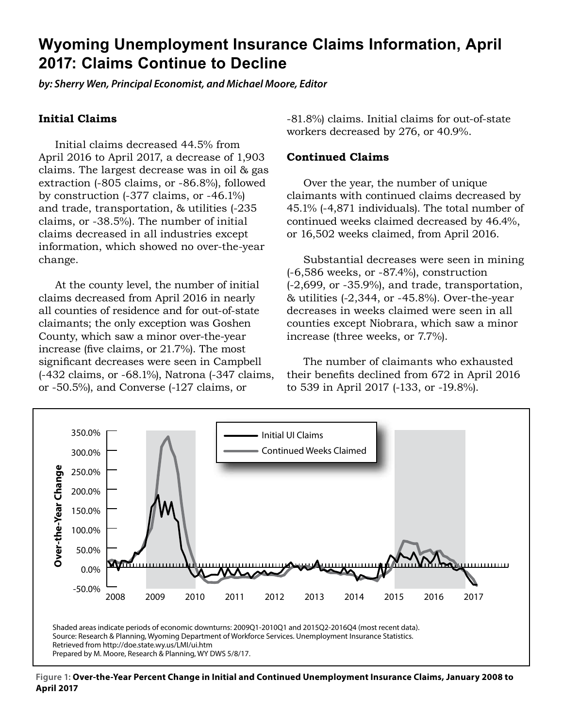## **Wyoming Unemployment Insurance Claims Information, April 2017: Claims Continue to Decline**

*by: Sherry Wen, Principal Economist, and Michael Moore, Editor*

## **Initial Claims**

Initial claims decreased 44.5% from April 2016 to April 2017, a decrease of 1,903 claims. The largest decrease was in oil & gas extraction (-805 claims, or -86.8%), followed by construction (-377 claims, or -46.1%) and trade, transportation, & utilities (-235 claims, or -38.5%). The number of initial claims decreased in all industries except information, which showed no over-the-year change.

At the county level, the number of initial claims decreased from April 2016 in nearly all counties of residence and for out-of-state claimants; the only exception was Goshen County, which saw a minor over-the-year increase (five claims, or 21.7%). The most significant decreases were seen in Campbell (-432 claims, or -68.1%), Natrona (-347 claims, or -50.5%), and Converse (-127 claims, or

-81.8%) claims. Initial claims for out-of-state workers decreased by 276, or 40.9%.

### **Continued Claims**

Over the year, the number of unique claimants with continued claims decreased by 45.1% (-4,871 individuals). The total number of continued weeks claimed decreased by 46.4%, or 16,502 weeks claimed, from April 2016.

Substantial decreases were seen in mining (-6,586 weeks, or -87.4%), construction (-2,699, or -35.9%), and trade, transportation, & utilities (-2,344, or -45.8%). Over-the-year decreases in weeks claimed were seen in all counties except Niobrara, which saw a minor increase (three weeks, or 7.7%).

The number of claimants who exhausted their benefits declined from 672 in April 2016 to 539 in April 2017 (-133, or -19.8%).



**Figure 1: Over-the-Year Percent Change in Initial and Continued Unemployment Insurance Claims, January 2008 to April 2017**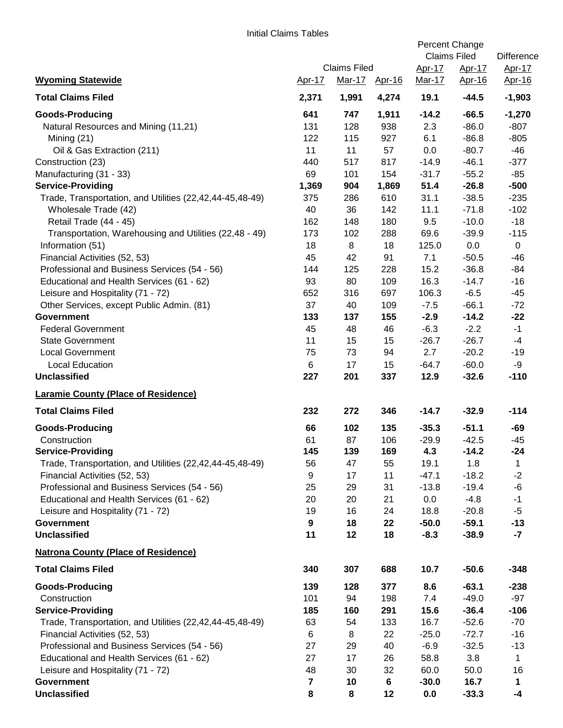|                                                          |                     |        |               | Percent Change<br><b>Claims Filed</b> |               | <b>Difference</b> |
|----------------------------------------------------------|---------------------|--------|---------------|---------------------------------------|---------------|-------------------|
|                                                          | <b>Claims Filed</b> |        |               | Apr-17                                | <u>Apr-17</u> | <u>Apr-17</u>     |
| <b>Wyoming Statewide</b>                                 | Apr-17              | Mar-17 | <u>Apr-16</u> | Mar-17                                | Apr-16        | Apr-16            |
| <b>Total Claims Filed</b>                                | 2,371               | 1,991  | 4,274         | 19.1                                  | $-44.5$       | $-1,903$          |
| <b>Goods-Producing</b>                                   | 641                 | 747    | 1,911         | $-14.2$                               | $-66.5$       | $-1,270$          |
| Natural Resources and Mining (11,21)                     | 131                 | 128    | 938           | 2.3                                   | $-86.0$       | $-807$            |
| Mining (21)                                              | 122                 | 115    | 927           | 6.1                                   | $-86.8$       | $-805$            |
| Oil & Gas Extraction (211)                               | 11                  | 11     | 57            | 0.0                                   | $-80.7$       | $-46$             |
| Construction (23)                                        | 440                 | 517    | 817           | $-14.9$                               | $-46.1$       | $-377$            |
| Manufacturing (31 - 33)                                  | 69                  | 101    | 154           | $-31.7$                               | $-55.2$       | $-85$             |
| <b>Service-Providing</b>                                 | 1,369               | 904    | 1,869         | 51.4                                  | $-26.8$       | $-500$            |
| Trade, Transportation, and Utilities (22,42,44-45,48-49) | 375                 | 286    | 610           | 31.1                                  | $-38.5$       | $-235$            |
| Wholesale Trade (42)                                     | 40                  | 36     | 142           | 11.1                                  | $-71.8$       | $-102$            |
| Retail Trade (44 - 45)                                   | 162                 | 148    | 180           | 9.5                                   | $-10.0$       | $-18$             |
| Transportation, Warehousing and Utilities (22,48 - 49)   | 173                 | 102    | 288           | 69.6                                  | $-39.9$       | $-115$            |
| Information (51)                                         | 18                  | 8      | 18            | 125.0                                 | 0.0           | $\mathbf 0$       |
| Financial Activities (52, 53)                            | 45                  | 42     | 91            | 7.1                                   | $-50.5$       | $-46$             |
| Professional and Business Services (54 - 56)             | 144                 | 125    | 228           | 15.2                                  | $-36.8$       | $-84$             |
| Educational and Health Services (61 - 62)                | 93                  | 80     | 109           | 16.3                                  | $-14.7$       | $-16$             |
| Leisure and Hospitality (71 - 72)                        | 652                 | 316    | 697           | 106.3                                 | $-6.5$        | $-45$             |
| Other Services, except Public Admin. (81)                | 37                  | 40     | 109           | $-7.5$                                | $-66.1$       | $-72$             |
| <b>Government</b>                                        | 133                 | 137    | 155           | $-2.9$                                | $-14.2$       | $-22$             |
| <b>Federal Government</b>                                | 45                  | 48     | 46            | $-6.3$                                | $-2.2$        | $-1$              |
| <b>State Government</b>                                  | 11                  | 15     | 15            | $-26.7$                               | $-26.7$       | $-4$              |
| <b>Local Government</b>                                  | 75                  | 73     | 94            | 2.7                                   | $-20.2$       | $-19$             |
| <b>Local Education</b>                                   | 6                   | 17     | 15            | $-64.7$                               | $-60.0$       | $-9$              |
| <b>Unclassified</b>                                      | 227                 | 201    | 337           | 12.9                                  | $-32.6$       | $-110$            |
| <b>Laramie County (Place of Residence)</b>               |                     |        |               |                                       |               |                   |
| <b>Total Claims Filed</b>                                | 232                 | 272    | 346           | $-14.7$                               | $-32.9$       | $-114$            |
| <b>Goods-Producing</b>                                   | 66                  | 102    | 135           | $-35.3$                               | $-51.1$       | -69               |
| Construction                                             | 61                  | 87     | 106           | $-29.9$                               | $-42.5$       | $-45$             |
| <b>Service-Providing</b>                                 | 145                 | 139    | 169           | 4.3                                   | $-14.2$       | $-24$             |
| Trade, Transportation, and Utilities (22,42,44-45,48-49) | 56                  | 47     | 55            | 19.1                                  | 1.8           | 1                 |
| Financial Activities (52, 53)                            | 9                   | 17     | 11            | $-47.1$                               | $-18.2$       | $-2$              |
| Professional and Business Services (54 - 56)             | 25                  | 29     | 31            | $-13.8$                               | $-19.4$       | $-6$              |
| Educational and Health Services (61 - 62)                | 20                  | 20     | 21            | 0.0                                   | $-4.8$        | $-1$              |
| Leisure and Hospitality (71 - 72)                        | 19                  | 16     | 24            | 18.8                                  | $-20.8$       | $-5$              |
| <b>Government</b>                                        | 9                   | 18     | 22            | $-50.0$                               | $-59.1$       | $-13$             |
| <b>Unclassified</b>                                      | 11                  | 12     | 18            | $-8.3$                                | $-38.9$       | $-7$              |
| <b>Natrona County (Place of Residence)</b>               |                     |        |               |                                       |               |                   |
| <b>Total Claims Filed</b>                                | 340                 | 307    | 688           | 10.7                                  | $-50.6$       | $-348$            |
| <b>Goods-Producing</b>                                   | 139                 | 128    | 377           | 8.6                                   | $-63.1$       | $-238$            |
| Construction                                             | 101                 | 94     | 198           | 7.4                                   | $-49.0$       | $-97$             |
| <b>Service-Providing</b>                                 | 185                 | 160    | 291           | 15.6                                  | $-36.4$       | $-106$            |
| Trade, Transportation, and Utilities (22,42,44-45,48-49) | 63                  | 54     | 133           | 16.7                                  | $-52.6$       | $-70$             |
| Financial Activities (52, 53)                            | 6                   | 8      | 22            | $-25.0$                               | $-72.7$       | $-16$             |
| Professional and Business Services (54 - 56)             | 27                  | 29     | 40            | $-6.9$                                | $-32.5$       | $-13$             |
| Educational and Health Services (61 - 62)                | 27                  | 17     | 26            | 58.8                                  | 3.8           | $\mathbf{1}$      |
| Leisure and Hospitality (71 - 72)                        | 48                  | 30     | 32            | 60.0                                  | 50.0          | 16                |
| <b>Government</b>                                        | 7                   | 10     | 6             | $-30.0$                               | 16.7          | $\mathbf 1$       |
| <b>Unclassified</b>                                      | 8                   | 8      | 12            | 0.0                                   | $-33.3$       | $-4$              |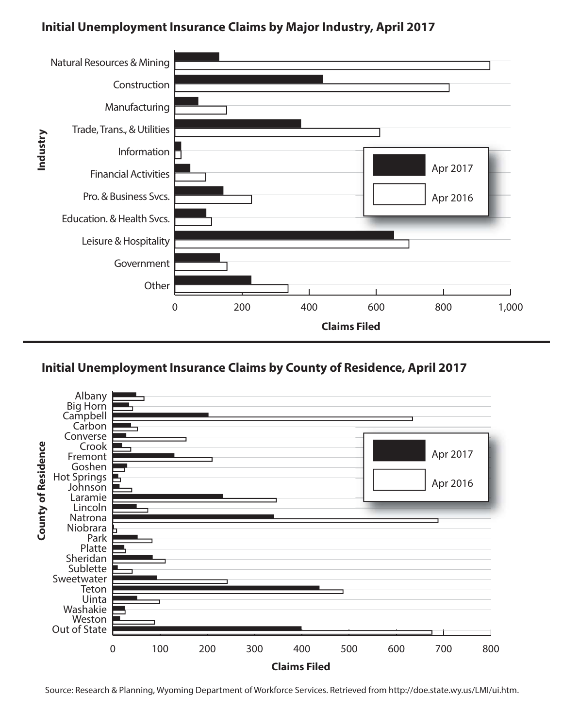## **Initial Unemployment Insurance Claims by Major Industry, April 2017**



## **Initial Unemployment Insurance Claims by County of Residence, April 2017**



Source: Research & Planning, Wyoming Department of Workforce Services. Retrieved from http://doe.state.wy.us/LMI/ui.htm.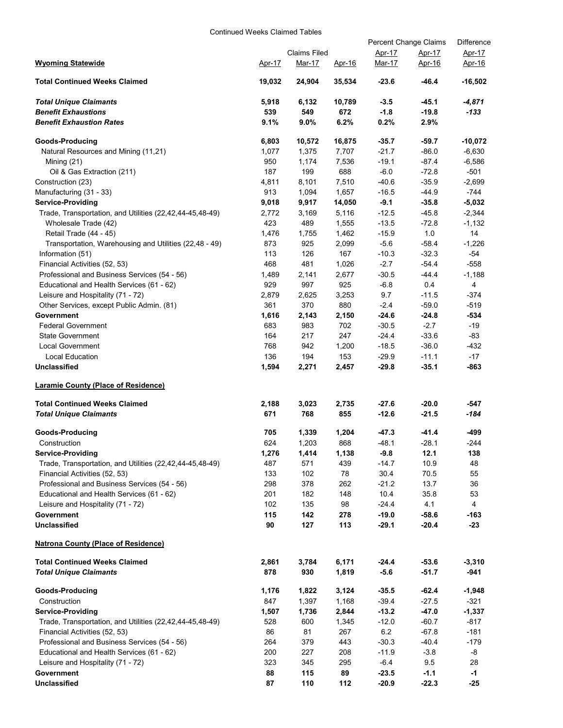#### Continued Weeks Claimed Tables

|                                                          |        |                     |               | Percent Change Claims | Difference    |           |
|----------------------------------------------------------|--------|---------------------|---------------|-----------------------|---------------|-----------|
|                                                          |        | <b>Claims Filed</b> |               | Apr-17                | Apr-17        | Apr-17    |
| <b>Wyoming Statewide</b>                                 | Apr-17 | Mar-17              | <u>Apr-16</u> | Mar-17                | <u>Apr-16</u> | Apr-16    |
| <b>Total Continued Weeks Claimed</b>                     | 19,032 | 24,904              | 35,534        | $-23.6$               | -46.4         | $-16,502$ |
| <b>Total Unique Claimants</b>                            | 5,918  | 6,132               | 10,789        | $-3.5$                | $-45.1$       | $-4,871$  |
| <b>Benefit Exhaustions</b>                               | 539    | 549                 | 672           | $-1.8$                | $-19.8$       | -133      |
| <b>Benefit Exhaustion Rates</b>                          | 9.1%   | $9.0\%$             | 6.2%          | 0.2%                  | 2.9%          |           |
| Goods-Producing                                          | 6,803  | 10,572              | 16,875        | $-35.7$               | $-59.7$       | $-10,072$ |
| Natural Resources and Mining (11,21)                     | 1,077  | 1,375               | 7,707         | $-21.7$               | $-86.0$       | $-6,630$  |
| Mining (21)                                              | 950    | 1,174               | 7,536         | $-19.1$               | $-87.4$       | $-6,586$  |
| Oil & Gas Extraction (211)                               | 187    | 199                 | 688           | $-6.0$                | $-72.8$       | $-501$    |
| Construction (23)                                        | 4,811  | 8,101               | 7,510         | $-40.6$               | $-35.9$       | $-2,699$  |
| Manufacturing (31 - 33)                                  | 913    | 1,094               | 1,657         | $-16.5$               | $-44.9$       | $-744$    |
| <b>Service-Providing</b>                                 | 9,018  | 9,917               | 14,050        | $-9.1$                | $-35.8$       | $-5,032$  |
| Trade, Transportation, and Utilities (22,42,44-45,48-49) | 2,772  | 3,169               | 5,116         | $-12.5$               | $-45.8$       | $-2,344$  |
| Wholesale Trade (42)                                     | 423    | 489                 | 1,555         | $-13.5$               | $-72.8$       | $-1,132$  |
| Retail Trade (44 - 45)                                   | 1,476  | 1,755               | 1,462         | $-15.9$               | 1.0           | 14        |
| Transportation, Warehousing and Utilities (22,48 - 49)   | 873    | 925                 | 2,099         | $-5.6$                | $-58.4$       | $-1,226$  |
| Information (51)                                         | 113    | 126                 | 167           | $-10.3$               | $-32.3$       | $-54$     |
| Financial Activities (52, 53)                            | 468    | 481                 | 1,026         | $-2.7$                | $-54.4$       | $-558$    |
| Professional and Business Services (54 - 56)             | 1,489  | 2,141               | 2,677         | $-30.5$               | $-44.4$       | $-1,188$  |
| Educational and Health Services (61 - 62)                | 929    | 997                 | 925           | $-6.8$                | 0.4           | 4         |
| Leisure and Hospitality (71 - 72)                        | 2,879  | 2,625               | 3,253         | 9.7                   | $-11.5$       | -374      |
| Other Services, except Public Admin. (81)                | 361    | 370                 | 880           | $-2.4$                | $-59.0$       | $-519$    |
| Government                                               | 1,616  | 2,143               | 2,150         | $-24.6$               | $-24.8$       | $-534$    |
| <b>Federal Government</b>                                | 683    | 983                 | 702           | $-30.5$               | $-2.7$        | $-19$     |
| <b>State Government</b>                                  | 164    | 217                 | 247           | $-24.4$               | $-33.6$       | $-83$     |
| <b>Local Government</b>                                  | 768    | 942                 | 1,200         | $-18.5$               | $-36.0$       | $-432$    |
| Local Education                                          | 136    | 194                 | 153           | $-29.9$               | $-11.1$       | $-17$     |
| <b>Unclassified</b>                                      | 1,594  | 2,271               | 2,457         | $-29.8$               | $-35.1$       | -863      |
| <b>Laramie County (Place of Residence)</b>               |        |                     |               |                       |               |           |
| <b>Total Continued Weeks Claimed</b>                     | 2,188  | 3,023               | 2,735         | $-27.6$               | -20.0         | $-547$    |
| <b>Total Unique Claimants</b>                            | 671    | 768                 | 855           | $-12.6$               | $-21.5$       | -184      |
| Goods-Producing                                          | 705    | 1,339               | 1,204         | $-47.3$               | $-41.4$       | -499      |
| Construction                                             | 624    | 1,203               | 868           | $-48.1$               | $-28.1$       | $-244$    |
| <b>Service-Providing</b>                                 | 1,276  | 1,414               | 1,138         | $-9.8$                | 12.1          | 138       |
| Trade, Transportation, and Utilities (22,42,44-45,48-49) | 487    | 571                 | 439           | -14.7                 | 10.9          | 48        |
| Financial Activities (52, 53)                            | 133    | 102                 | 78            | 30.4                  | 70.5          | 55        |
| Professional and Business Services (54 - 56)             | 298    | 378                 | 262           | $-21.2$               | 13.7          | 36        |
| Educational and Health Services (61 - 62)                | 201    | 182                 | 148           | 10.4                  | 35.8          | 53        |
| Leisure and Hospitality (71 - 72)                        | 102    | 135                 | 98            | $-24.4$               | 4.1           | 4         |
| Government                                               | 115    | 142                 | 278           | $-19.0$               | $-58.6$       | $-163$    |
| <b>Unclassified</b>                                      | 90     | 127                 | 113           | $-29.1$               | $-20.4$       | $-23$     |
| <b>Natrona County (Place of Residence)</b>               |        |                     |               |                       |               |           |
| <b>Total Continued Weeks Claimed</b>                     | 2,861  | 3,784               | 6,171         | -24.4                 | $-53.6$       | $-3,310$  |
| <b>Total Unique Claimants</b>                            | 878    | 930                 | 1,819         | $-5.6$                | $-51.7$       | $-941$    |
| Goods-Producing                                          | 1,176  | 1,822               | 3,124         | $-35.5$               | $-62.4$       | $-1,948$  |
| Construction                                             | 847    | 1,397               | 1,168         | $-39.4$               | $-27.5$       | $-321$    |
| <b>Service-Providing</b>                                 | 1,507  | 1,736               | 2,844         | $-13.2$               | $-47.0$       | $-1,337$  |
| Trade, Transportation, and Utilities (22,42,44-45,48-49) | 528    | 600                 | 1,345         | $-12.0$               | $-60.7$       | $-817$    |
| Financial Activities (52, 53)                            | 86     | 81                  | 267           | 6.2                   | $-67.8$       | $-181$    |
| Professional and Business Services (54 - 56)             | 264    | 379                 | 443           | $-30.3$               | $-40.4$       | $-179$    |
| Educational and Health Services (61 - 62)                | 200    | 227                 | 208           | $-11.9$               | $-3.8$        | -8        |
| Leisure and Hospitality (71 - 72)                        | 323    | 345                 | 295           | $-6.4$                | 9.5           | 28        |
| Government                                               | 88     | 115                 | 89            | $-23.5$               | $-1.1$        | $-1$      |
| <b>Unclassified</b>                                      | 87     | 110                 | 112           | $-20.9$               | $-22.3$       | $-25$     |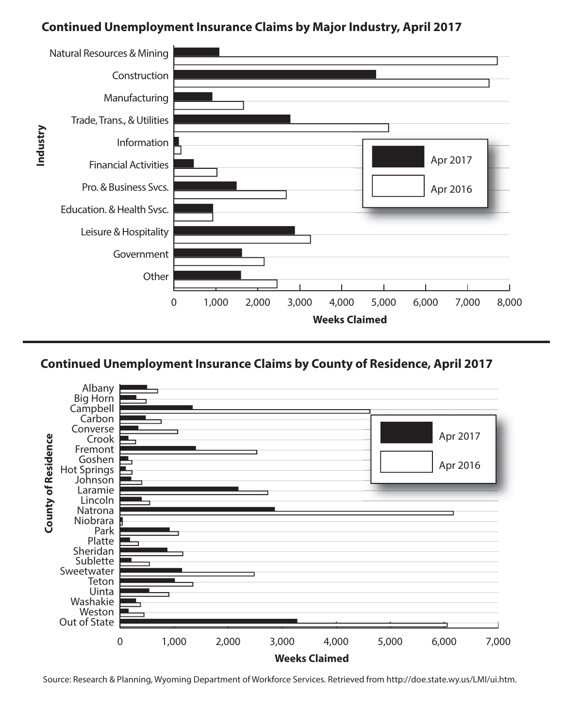## **Continued Unemployment Insurance Claims by Major Industry, April 2017**





Source: Research & Planning, Wyoming Department of Workforce Services. Retrieved from http://doe.state.wy.us/LMI/ui.htm.